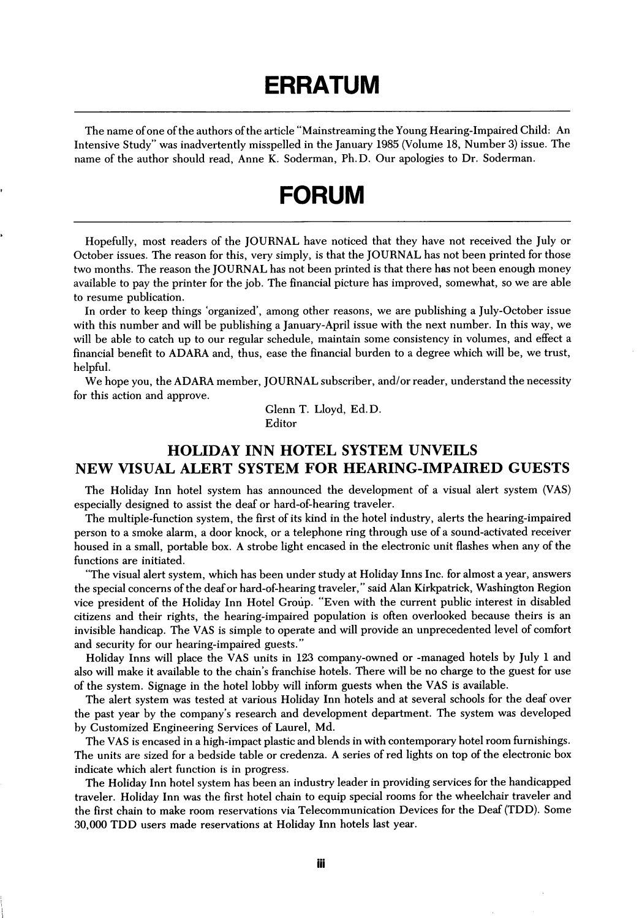## ERRATUM

The name of one of the authors of the article "Mainstreaming the Young Hearing-Impaired Child: An Intensive Study" was inadvertently misspelled in the January 1985 (Volume 18, Number 3) issue. The name of the author should read, Anne K. Soderman, Ph.D. Our apologies to Dr. Soderman.

## FORUM

Hopefully, most readers of the JOURNAL have noticed that they have not received the July or October issues. The reason for this, very simply, is that the JOURNAL has not been printed for those two months. The reason the JOURNAL has not been printed is that there has not been enough money available to pay the printer for the job. The financial picture has improved, somewhat, so we are able to resume publication.

In order to keep things 'organized', among other reasons, we are publishing a July-October issue with this number and will be publishing a January-April issue with the next number. In this way, we will be able to catch up to our regular schedule, maintain some consistency in volumes, and effect a financial benefit to ADARA and, thus, ease the financial burden to a degree which will be, we trust, helpful.

We hope you, the ADARA member, JOURNAL subscriber, and/or reader, understand the necessity for this action and approve.

> Glenn T. Lloyd, Ed.D. Editor

## HOLIDAY INN HOTEL SYSTEM UNVEILS NEW VISUAL ALERT SYSTEM FOR HEARING-IMPAIRED GUESTS

The Holiday Inn hotel system has announced the development of a visual alert system (VAS) especially designed to assist the deaf or hard-of-hearing traveler.

The multiple-function system, the first of its kind in the hotel industry, alerts the hearing-impaired person to a smoke alarm, a door knock, or a telephone ring through use of a sound-activated receiver housed in a small, portable box. A strobe light encased in the electronic unit flashes when any of the functions are initiated.

"The visual alert system, which has been under study at Holiday Inns Inc. for almost a year, answers the special concerns of the deaf or hard-of-hearing traveler," said Alan Kirkpatrick, Washington Region vice president of the Holiday Inn Hotel Group. "Even with the current public interest in disabled citizens and their rights, the hearing-impaired population is often overlooked because theirs is an invisible handicap. The VAS is simple to operate and will provide an unprecedented level of comfort and security for our hearing-impaired guests."

Holiday Inns will place the VAS units in 123 company-owned or -managed hotels by July 1 and also will make it available to the chain's franchise hotels. There will be no charge to the guest for use of the system. Signage in the hotel lobby will inform guests when the VAS is available.

The alert system was tested at various Holiday Inn hotels and at several schools for the deaf over the past year by the company's research and development department. The system was developed by Gustomized Engineering Services of Laurel, Md.

The VAS is encased in a high-impact plastic and blends in with contemporary hotel room furnishings. The units are sized for a bedside table or credenza. A series of red lights on top of the electronic box indicate which alert function is in progress.

The Holiday Inn hotel system has been an industry leader in providing services for the handicapped traveler. Holiday Inn was the first hotel chain to equip special rooms for the wheelchair traveler and the first chain to make room reservations via Telecommunication Devices for the Deaf (TDD). Some 30,000 TDD users made reservations at Holiday Inn hotels last year.